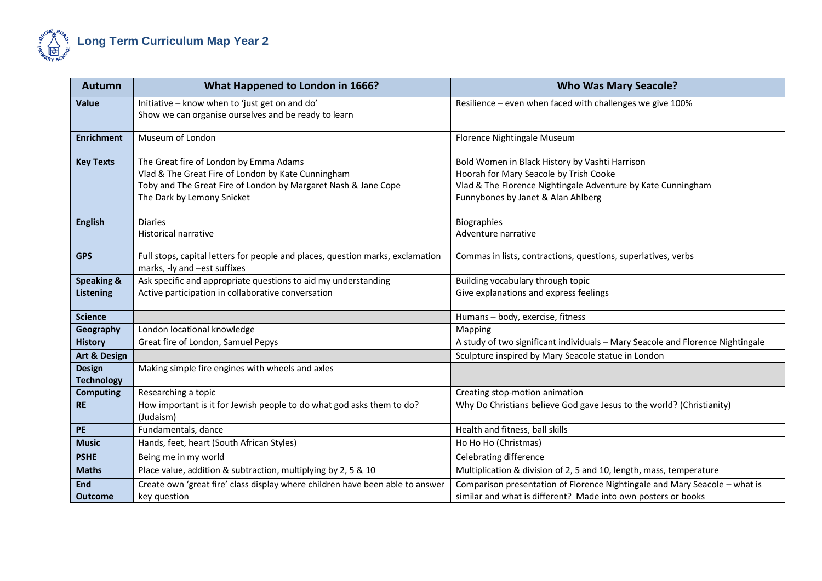

| <b>Autumn</b>           | What Happened to London in 1666?                                                                               | <b>Who Was Mary Seacole?</b>                                                   |
|-------------------------|----------------------------------------------------------------------------------------------------------------|--------------------------------------------------------------------------------|
| <b>Value</b>            | Initiative - know when to 'just get on and do'                                                                 | Resilience - even when faced with challenges we give 100%                      |
|                         | Show we can organise ourselves and be ready to learn                                                           |                                                                                |
| <b>Enrichment</b>       | Museum of London                                                                                               | Florence Nightingale Museum                                                    |
| <b>Key Texts</b>        | The Great fire of London by Emma Adams                                                                         | Bold Women in Black History by Vashti Harrison                                 |
|                         | Vlad & The Great Fire of London by Kate Cunningham                                                             | Hoorah for Mary Seacole by Trish Cooke                                         |
|                         | Toby and The Great Fire of London by Margaret Nash & Jane Cope                                                 | Vlad & The Florence Nightingale Adventure by Kate Cunningham                   |
|                         | The Dark by Lemony Snicket                                                                                     | Funnybones by Janet & Alan Ahlberg                                             |
| <b>English</b>          | <b>Diaries</b>                                                                                                 | <b>Biographies</b>                                                             |
|                         | <b>Historical narrative</b>                                                                                    | Adventure narrative                                                            |
| <b>GPS</b>              |                                                                                                                |                                                                                |
|                         | Full stops, capital letters for people and places, question marks, exclamation<br>marks, -ly and -est suffixes | Commas in lists, contractions, questions, superlatives, verbs                  |
| <b>Speaking &amp;</b>   | Ask specific and appropriate questions to aid my understanding                                                 | Building vocabulary through topic                                              |
| <b>Listening</b>        | Active participation in collaborative conversation                                                             | Give explanations and express feelings                                         |
|                         |                                                                                                                |                                                                                |
| <b>Science</b>          |                                                                                                                | Humans - body, exercise, fitness                                               |
| Geography               | London locational knowledge                                                                                    | Mapping                                                                        |
| <b>History</b>          | Great fire of London, Samuel Pepys                                                                             | A study of two significant individuals - Mary Seacole and Florence Nightingale |
| <b>Art &amp; Design</b> |                                                                                                                | Sculpture inspired by Mary Seacole statue in London                            |
| <b>Design</b>           | Making simple fire engines with wheels and axles                                                               |                                                                                |
| <b>Technology</b>       |                                                                                                                |                                                                                |
| <b>Computing</b>        | Researching a topic                                                                                            | Creating stop-motion animation                                                 |
| <b>RE</b>               | How important is it for Jewish people to do what god asks them to do?                                          | Why Do Christians believe God gave Jesus to the world? (Christianity)          |
|                         | (Judaism)                                                                                                      |                                                                                |
| PE                      | Fundamentals, dance                                                                                            | Health and fitness, ball skills                                                |
| <b>Music</b>            | Hands, feet, heart (South African Styles)                                                                      | Ho Ho Ho (Christmas)                                                           |
| <b>PSHE</b>             | Being me in my world                                                                                           | Celebrating difference                                                         |
| <b>Maths</b>            | Place value, addition & subtraction, multiplying by 2, 5 & 10                                                  | Multiplication & division of 2, 5 and 10, length, mass, temperature            |
| End                     | Create own 'great fire' class display where children have been able to answer                                  | Comparison presentation of Florence Nightingale and Mary Seacole - what is     |
| <b>Outcome</b>          | key question                                                                                                   | similar and what is different? Made into own posters or books                  |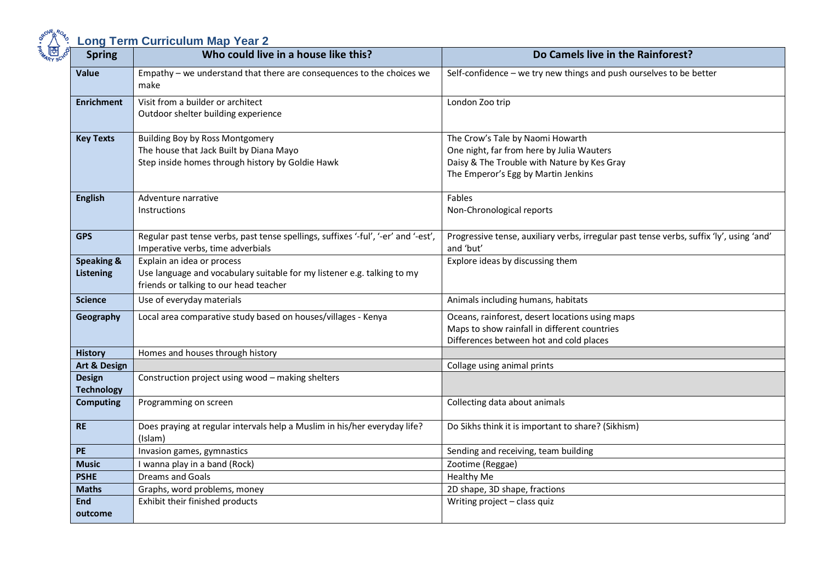| <b>Spring</b>                             | Who could live in a house like this?                                                                                                            | Do Camels live in the Rainforest?                                                                                                                                   |
|-------------------------------------------|-------------------------------------------------------------------------------------------------------------------------------------------------|---------------------------------------------------------------------------------------------------------------------------------------------------------------------|
| <b>Value</b>                              | Empathy - we understand that there are consequences to the choices we<br>make                                                                   | Self-confidence - we try new things and push ourselves to be better                                                                                                 |
| <b>Enrichment</b>                         | Visit from a builder or architect<br>Outdoor shelter building experience                                                                        | London Zoo trip                                                                                                                                                     |
| <b>Key Texts</b>                          | <b>Building Boy by Ross Montgomery</b><br>The house that Jack Built by Diana Mayo<br>Step inside homes through history by Goldie Hawk           | The Crow's Tale by Naomi Howarth<br>One night, far from here by Julia Wauters<br>Daisy & The Trouble with Nature by Kes Gray<br>The Emperor's Egg by Martin Jenkins |
| <b>English</b>                            | Adventure narrative<br><b>Instructions</b>                                                                                                      | Fables<br>Non-Chronological reports                                                                                                                                 |
| <b>GPS</b>                                | Regular past tense verbs, past tense spellings, suffixes '-ful', '-er' and '-est',<br>Imperative verbs, time adverbials                         | Progressive tense, auxiliary verbs, irregular past tense verbs, suffix 'ly', using 'and'<br>and 'but'                                                               |
| <b>Speaking &amp;</b><br><b>Listening</b> | Explain an idea or process<br>Use language and vocabulary suitable for my listener e.g. talking to my<br>friends or talking to our head teacher | Explore ideas by discussing them                                                                                                                                    |
| <b>Science</b>                            | Use of everyday materials                                                                                                                       | Animals including humans, habitats                                                                                                                                  |
| Geography                                 | Local area comparative study based on houses/villages - Kenya                                                                                   | Oceans, rainforest, desert locations using maps<br>Maps to show rainfall in different countries<br>Differences between hot and cold places                          |
| <b>History</b>                            | Homes and houses through history                                                                                                                |                                                                                                                                                                     |
| Art & Design                              |                                                                                                                                                 | Collage using animal prints                                                                                                                                         |
| <b>Design</b><br><b>Technology</b>        | Construction project using wood - making shelters                                                                                               |                                                                                                                                                                     |
| <b>Computing</b>                          | Programming on screen                                                                                                                           | Collecting data about animals                                                                                                                                       |
| <b>RE</b>                                 | Does praying at regular intervals help a Muslim in his/her everyday life?<br>(Islam)                                                            | Do Sikhs think it is important to share? (Sikhism)                                                                                                                  |
| PE                                        | Invasion games, gymnastics                                                                                                                      | Sending and receiving, team building                                                                                                                                |
| <b>Music</b>                              | I wanna play in a band (Rock)                                                                                                                   | Zootime (Reggae)                                                                                                                                                    |
| <b>PSHE</b>                               | <b>Dreams and Goals</b>                                                                                                                         | <b>Healthy Me</b>                                                                                                                                                   |
| <b>Maths</b>                              | Graphs, word problems, money                                                                                                                    | 2D shape, 3D shape, fractions                                                                                                                                       |
| <b>End</b>                                | Exhibit their finished products                                                                                                                 | Writing project - class quiz                                                                                                                                        |